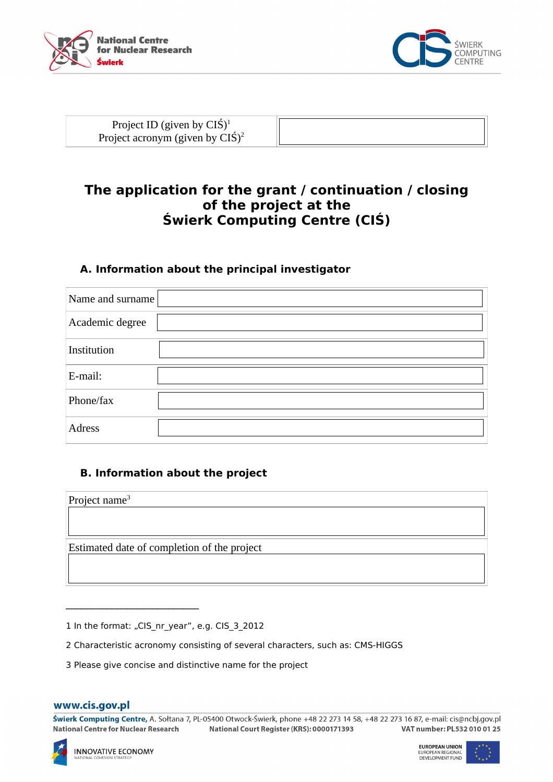



Project ID (given by CIŚ)<sup>1</sup> Project acronym (g

| iwen l<br>,,,,,,, |  |
|-------------------|--|
|                   |  |

# **The application for the grant / continuation / closing of the project at the Świerk Computing Centre (CIŚ)**

## **A. Information about the principal investigator**

| Name and surname |  |
|------------------|--|
| Academic degree  |  |
| Institution      |  |
| E-mail:          |  |
| Phone/fax        |  |
| <b>Adress</b>    |  |

# **B. Information about the project**

| Project name $3$                            |  |  |
|---------------------------------------------|--|--|
|                                             |  |  |
|                                             |  |  |
| Estimated date of completion of the project |  |  |
|                                             |  |  |

1 In the format: "CIS\_nr\_year", e.g. CIS\_3\_2012

\_\_\_\_\_\_\_\_\_\_\_\_\_\_\_\_\_\_\_\_\_\_\_\_\_\_

2 Characteristic acronomy consisting of several characters, such as: CMS-HIGGS

3 Please give concise and distinctive name for the project

#### www.cis.gov.pl

Świerk Computing Centre, A. Sołtana 7, PL-05400 Otwock-Świerk, phone +48 22 273 14 58, +48 22 273 16 87, e-mail: cis@ncbj.gov.pl VAT number: PL532 010 01 25 **National Centre for Nuclear Research** National Court Register (KRS): 0000171393

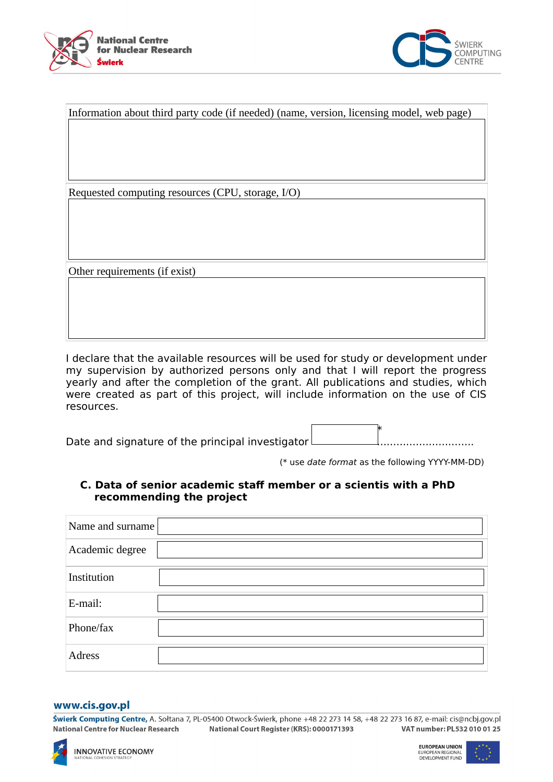



| Information about third party code (if needed) (name, version, licensing model, web page) |  |  |
|-------------------------------------------------------------------------------------------|--|--|
|                                                                                           |  |  |
|                                                                                           |  |  |
|                                                                                           |  |  |
|                                                                                           |  |  |
| Requested computing resources (CPU, storage, I/O)                                         |  |  |
|                                                                                           |  |  |
|                                                                                           |  |  |
|                                                                                           |  |  |
|                                                                                           |  |  |
| Other requirements (if exist)                                                             |  |  |
|                                                                                           |  |  |
|                                                                                           |  |  |
|                                                                                           |  |  |
|                                                                                           |  |  |

I declare that the available resources will be used for study or development under my supervision by authorized persons only and that I will report the progress yearly and after the completion of the grant. All publications and studies, which were created as part of this project, will include information on the use of CIS resources.

the contract of the contract of the contract of the contract of the contract of the contract of the contract o Date and signature of the principal investigator ..............................

(\* use date format as the following YYYY-MM-DD)

### **C. Data of senior academic staff member or a scientis with a PhD recommending the project**

| Name and surname |  |
|------------------|--|
| Academic degree  |  |
| Institution      |  |
| E-mail:          |  |
| Phone/fax        |  |
| <b>Adress</b>    |  |

#### www.cis.gov.pl

Świerk Computing Centre, A. Sołtana 7, PL-05400 Otwock-Świerk, phone +48 22 273 14 58, +48 22 273 16 87, e-mail: cis@ncbj.gov.pl National Centre for Nuclear Research VAT number: PL532 010 01 25 National Court Register (KRS): 0000171393

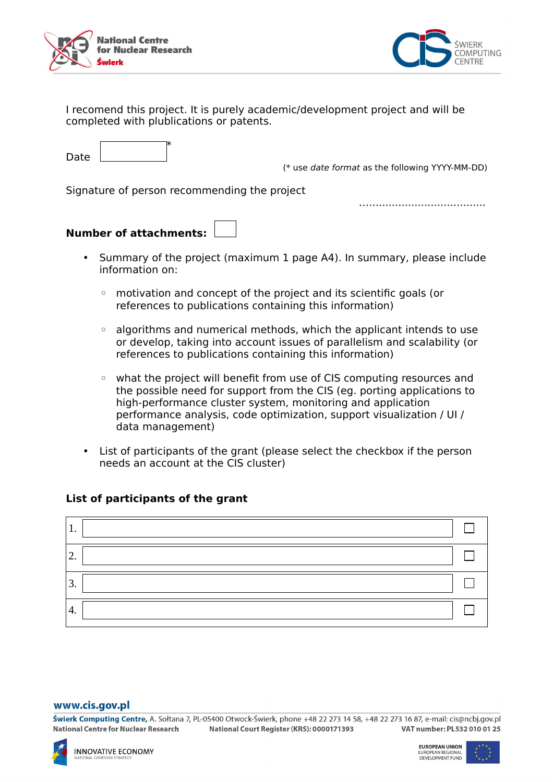



I recomend this project. It is purely academic/development project and will be completed with plublications or patents.

 $\overline{\phantom{a}}$   $\overline{\phantom{a}}$   $\overline{\phantom{a}}$   $\overline{\phantom{a}}$ Date

(\* use date format as the following YYYY-MM-DD)

…....................................

Signature of person recommending the project

# **Number of attachments:**

- Summary of the project (maximum 1 page A4). In summary, please include information on:
	- motivation and concept of the project and its scientific goals (or references to publications containing this information)
	- algorithms and numerical methods, which the applicant intends to use or develop, taking into account issues of parallelism and scalability (or references to publications containing this information)
	- what the project will benefit from use of CIS computing resources and the possible need for support from the CIS (eg. porting applications to high-performance cluster system, monitoring and application performance analysis, code optimization, support visualization / UI / data management)
- List of participants of the grant (please select the checkbox if the person needs an account at the CIS cluster)

### **List of participants of the grant**



#### www.cis.gov.pl

Świerk Computing Centre, A. Sołtana 7, PL-05400 Otwock-Świerk, phone +48 22 273 14 58, +48 22 273 16 87, e-mail: cis@ncbi.gov.pl VAT number: PL532 010 01 25 National Centre for Nuclear Research National Court Register (KRS): 0000171393